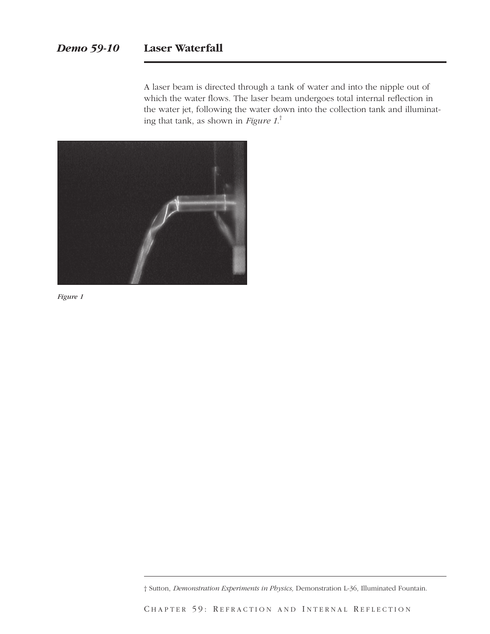A laser beam is directed through a tank of water and into the nipple out of which the water flows. The laser beam undergoes total internal reflection in the water jet, following the water down into the collection tank and illuminating that tank, as shown in *Figure 1*. †



*Figure 1*

† Sutton, *Demonstration Experiments in Physics,* Demonstration L-36, Illuminated Fountain.